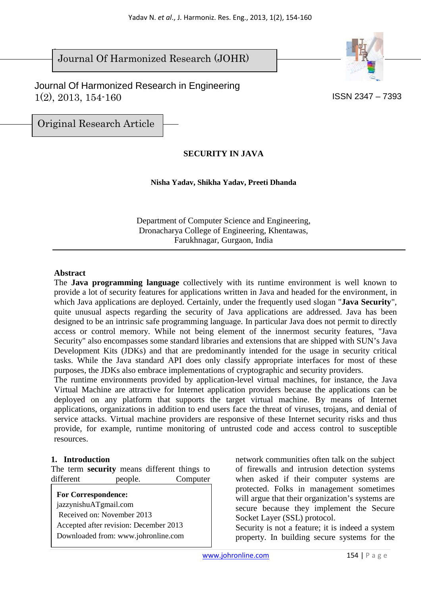#### $\overline{\phantom{a}}$ Journal Of Harmonized Research (JOHR)

 Journal Of Harmonized Research in Engineering  $1(2)$ ,  $2013$ ,  $154-160$  ISSN 2347 – 7393



Original Research Article

# **SECURITY IN JAVA**

**Nisha Yadav, Shikha Yadav, Preeti Dhanda** 

Department of Computer Science and Engineering, Dronacharya College of Engineering, Khentawas, Farukhnagar, Gurgaon, India

#### **Abstract**

The **Java programming language** collectively with its runtime environment is well known to provide a lot of security features for applications written in Java and headed for the environment, in which Java applications are deployed. Certainly, under the frequently used slogan "**Java Security**", quite unusual aspects regarding the security of Java applications are addressed. Java has been designed to be an intrinsic safe programming language. In particular Java does not permit to directly access or control memory. While not being element of the innermost security features, "Java Security" also encompasses some standard libraries and extensions that are shipped with SUN's Java Development Kits (JDKs) and that are predominantly intended for the usage in security critical tasks. While the Java standard API does only classify appropriate interfaces for most of these purposes, the JDKs also embrace implementations of cryptographic and security providers.

The runtime environments provided by application-level virtual machines, for instance, the Java Virtual Machine are attractive for Internet application providers because the applications can be deployed on any platform that supports the target virtual machine. By means of Internet applications, organizations in addition to end users face the threat of viruses, trojans, and denial of service attacks. Virtual machine providers are responsive of these Internet security risks and thus provide, for example, runtime monitoring of untrusted code and access control to susceptible resources.

#### **1. Introduction**

The term **security** means different things to different people. Computer

**For Correspondence:** 

jazzynishuATgmail.com Received on: November 2013 Accepted after revision: December 2013 Downloaded from: www.johronline.com network communities often talk on the subject of firewalls and intrusion detection systems when asked if their computer systems are protected. Folks in management sometimes will argue that their organization's systems are secure because they implement the Secure Socket Layer (SSL) protocol.

Security is not a feature; it is indeed a system property. In building secure systems for the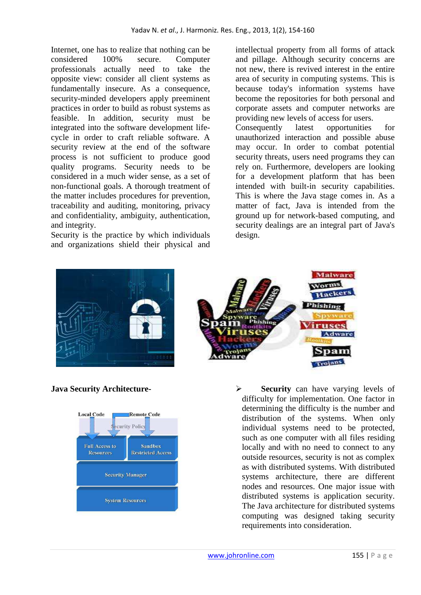Internet, one has to realize that nothing can be considered 100% secure. Computer professionals actually need to take the opposite view: consider all client systems as fundamentally insecure. As a consequence, security-minded developers apply preeminent practices in order to build as robust systems as feasible. In addition, security must be integrated into the software development lifecycle in order to craft reliable software. A security review at the end of the software process is not sufficient to produce good quality programs. Security needs to be considered in a much wider sense, as a set of non-functional goals. A thorough treatment of the matter includes procedures for prevention, traceability and auditing, monitoring, privacy and confidentiality, ambiguity, authentication, and integrity.

Security is the practice by which individuals and organizations shield their physical and intellectual property from all forms of attack and pillage. Although security concerns are not new, there is revived interest in the entire area of security in computing systems. This is because today's information systems have become the repositories for both personal and corporate assets and computer networks are providing new levels of access for users.

Consequently latest opportunities for unauthorized interaction and possible abuse may occur. In order to combat potential security threats, users need programs they can rely on. Furthermore, developers are looking for a development platform that has been intended with built-in security capabilities. This is where the Java stage comes in. As a matter of fact, Java is intended from the ground up for network-based computing, and security dealings are an integral part of Java's design.







**Java Security Architecture-** <br> **Security** can have varying levels of difficulty for implementation. One factor in determining the difficulty is the number and distribution of the systems. When only individual systems need to be protected, such as one computer with all files residing locally and with no need to connect to any outside resources, security is not as complex as with distributed systems. With distributed systems architecture, there are different nodes and resources. One major issue with distributed systems is application security. The Java architecture for distributed systems computing was designed taking security requirements into consideration.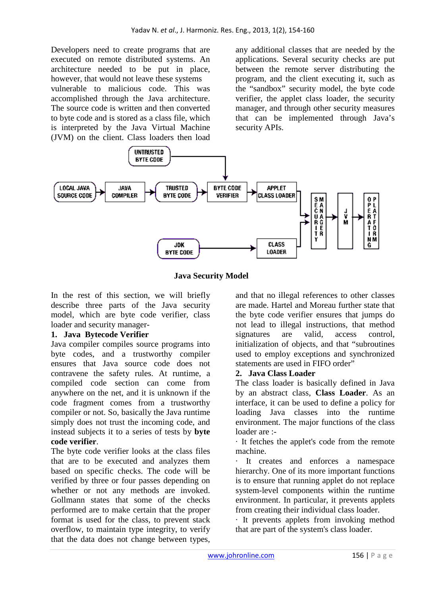Developers need to create programs that are executed on remote distributed systems. An architecture needed to be put in place, however, that would not leave these systems vulnerable to malicious code. This was accomplished through the Java architecture. The source code is written and then converted to byte code and is stored as a class file, which is interpreted by the Java Virtual Machine (JVM) on the client. Class loaders then load

any additional classes that are needed by the applications. Several security checks are put between the remote server distributing the program, and the client executing it, such as the "sandbox" security model, the byte code verifier, the applet class loader, the security manager, and through other security measures that can be implemented through Java's security APIs.



 **Java Security Model** 

In the rest of this section, we will briefly describe three parts of the Java security model, which are byte code verifier, class loader and security manager-

#### **1. Java Bytecode Verifier**

Java compiler compiles source programs into byte codes, and a trustworthy compiler ensures that Java source code does not contravene the safety rules. At runtime, a compiled code section can come from anywhere on the net, and it is unknown if the code fragment comes from a trustworthy compiler or not. So, basically the Java runtime simply does not trust the incoming code, and instead subjects it to a series of tests by **byte code verifier**.

The byte code verifier looks at the class files that are to be executed and analyzes them based on specific checks. The code will be verified by three or four passes depending on whether or not any methods are invoked. Gollmann states that some of the checks performed are to make certain that the proper format is used for the class, to prevent stack overflow, to maintain type integrity, to verify that the data does not change between types,

and that no illegal references to other classes are made. Hartel and Moreau further state that the byte code verifier ensures that jumps do not lead to illegal instructions, that method signatures are valid, access control, initialization of objects, and that "subroutines used to employ exceptions and synchronized statements are used in FIFO order"

#### **2. Java Class Loader**

The class loader is basically defined in Java by an abstract class, **Class Loader**. As an interface, it can be used to define a policy for loading Java classes into the runtime environment. The major functions of the class loader are :-

· It fetches the applet's code from the remote machine.

· It creates and enforces a namespace hierarchy. One of its more important functions is to ensure that running applet do not replace system-level components within the runtime environment. In particular, it prevents applets from creating their individual class loader.

· It prevents applets from invoking method that are part of the system's class loader.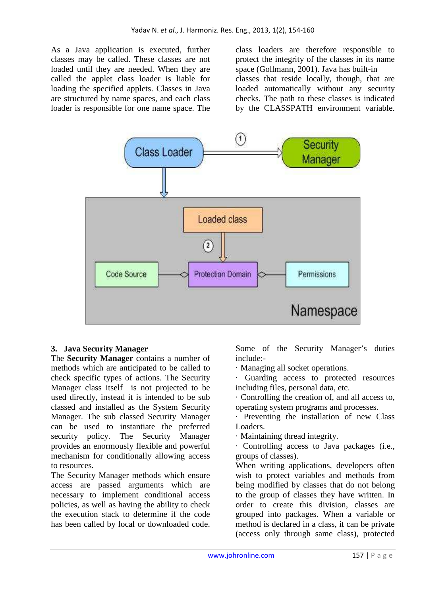As a Java application is executed, further classes may be called. These classes are not loaded until they are needed. When they are called the applet class loader is liable for loading the specified applets. Classes in Java are structured by name spaces, and each class loader is responsible for one name space. The class loaders are therefore responsible to protect the integrity of the classes in its name space (Gollmann, 2001). Java has built-in classes that reside locally, though, that are loaded automatically without any security checks. The path to these classes is indicated by the CLASSPATH environment variable.



#### **3. Java Security Manager**

The **Security Manager** contains a number of methods which are anticipated to be called to check specific types of actions. The Security Manager class itself is not projected to be used directly, instead it is intended to be sub classed and installed as the System Security Manager. The sub classed Security Manager can be used to instantiate the preferred security policy. The Security Manager provides an enormously flexible and powerful mechanism for conditionally allowing access to resources.

The Security Manager methods which ensure access are passed arguments which are necessary to implement conditional access policies, as well as having the ability to check the execution stack to determine if the code has been called by local or downloaded code.

Some of the Security Manager's duties include:-

- · Managing all socket operations.
- · Guarding access to protected resources including files, personal data, etc.
- · Controlling the creation of, and all access to, operating system programs and processes.
- Preventing the installation of new Class Loaders.
- · Maintaining thread integrity.
- · Controlling access to Java packages (i.e., groups of classes).

When writing applications, developers often wish to protect variables and methods from being modified by classes that do not belong to the group of classes they have written. In order to create this division, classes are grouped into packages. When a variable or method is declared in a class, it can be private (access only through same class), protected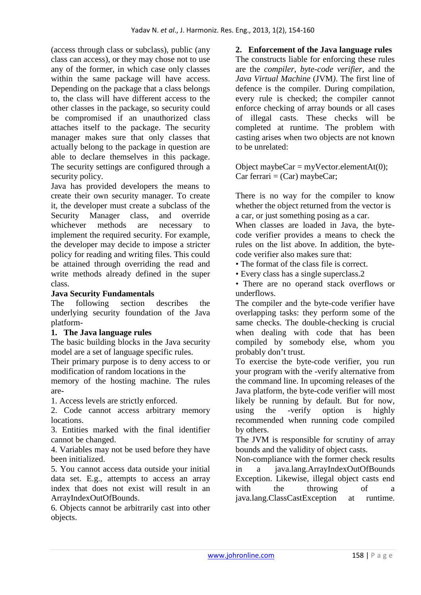(access through class or subclass), public (any class can access), or they may chose not to use any of the former, in which case only classes within the same package will have access. Depending on the package that a class belongs to, the class will have different access to the other classes in the package, so security could be compromised if an unauthorized class attaches itself to the package. The security manager makes sure that only classes that actually belong to the package in question are able to declare themselves in this package. The security settings are configured through a security policy.

Java has provided developers the means to create their own security manager. To create it, the developer must create a subclass of the Security Manager class, and override whichever methods are necessary to implement the required security. For example, the developer may decide to impose a stricter policy for reading and writing files. This could be attained through overriding the read and write methods already defined in the super class.

## **Java Security Fundamentals**

The following section describes the underlying security foundation of the Java platform-

### **1. The Java language rules**

The basic building blocks in the Java security model are a set of language specific rules.

Their primary purpose is to deny access to or modification of random locations in the

memory of the hosting machine. The rules are-

1. Access levels are strictly enforced.

2. Code cannot access arbitrary memory locations.

3. Entities marked with the final identifier cannot be changed.

4. Variables may not be used before they have been initialized.

5. You cannot access data outside your initial data set. E.g., attempts to access an array index that does not exist will result in an ArrayIndexOutOfBounds.

6. Objects cannot be arbitrarily cast into other objects.

**2. Enforcement of the Java language rules**  The constructs liable for enforcing these rules are the *compiler*, *byte-code verifier*, and the *Java Virtual Machine* (JVM*)*. The first line of defence is the compiler. During compilation, every rule is checked; the compiler cannot enforce checking of array bounds or all cases of illegal casts. These checks will be completed at runtime. The problem with casting arises when two objects are not known to be unrelated:

Object maybeCar = myVector.elementAt(0);  $Car ferrari = (Car) may be Car;$ 

There is no way for the compiler to know whether the object returned from the vector is a car, or just something posing as a car.

When classes are loaded in Java, the bytecode verifier provides a means to check the rules on the list above. In addition, the bytecode verifier also makes sure that:

*•* The format of the class file is correct.

*•* Every class has a single superclass.2

*•* There are no operand stack overflows or underflows.

The compiler and the byte-code verifier have overlapping tasks: they perform some of the same checks. The double-checking is crucial when dealing with code that has been compiled by somebody else, whom you probably don't trust.

To exercise the byte-code verifier, you run your program with the -verify alternative from the command line. In upcoming releases of the Java platform, the byte-code verifier will most likely be running by default. But for now, using the -verify option is highly recommended when running code compiled by others.

The JVM is responsible for scrutiny of array bounds and the validity of object casts.

Non-compliance with the former check results in a java.lang.ArrayIndexOutOfBounds Exception. Likewise, illegal object casts end with the throwing of a java.lang.ClassCastException at runtime.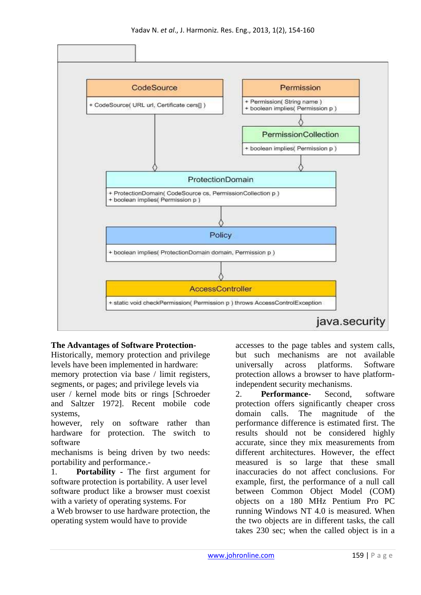

### **The Advantages of Software Protection-**

Historically, memory protection and privilege levels have been implemented in hardware: memory protection via base / limit registers, segments, or pages; and privilege levels via user / kernel mode bits or rings [Schroeder and Saltzer 1972]. Recent mobile code systems,

however, rely on software rather than hardware for protection. The switch to software

mechanisms is being driven by two needs: portability and performance.-

1. **Portability -** The first argument for software protection is portability. A user level software product like a browser must coexist with a variety of operating systems. For

a Web browser to use hardware protection, the operating system would have to provide

accesses to the page tables and system calls, but such mechanisms are not available universally across platforms. Software protection allows a browser to have platformindependent security mechanisms.

2. **Performance***-* Second, software protection offers significantly cheaper cross domain calls. The magnitude of the performance difference is estimated first. The results should not be considered highly accurate, since they mix measurements from different architectures. However, the effect measured is so large that these small inaccuracies do not affect conclusions. For example, first, the performance of a null call between Common Object Model (COM) objects on a 180 MHz Pentium Pro PC running Windows NT 4.0 is measured. When the two objects are in different tasks, the call takes 230 sec; when the called object is in a